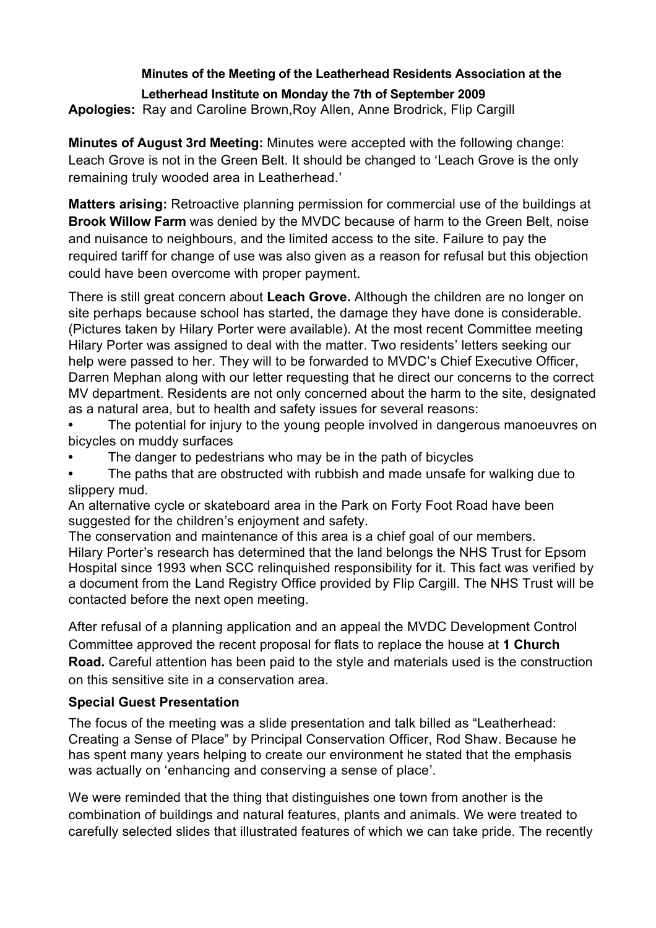# **Minutes of the Meeting of the Leatherhead Residents Association at the**

#### **Letherhead Institute on Monday the 7th of September 2009**

**Apologies:** Ray and Caroline Brown,Roy Allen, Anne Brodrick, Flip Cargill

**Minutes of August 3rd Meeting:** Minutes were accepted with the following change: Leach Grove is not in the Green Belt. It should be changed to 'Leach Grove is the only remaining truly wooded area in Leatherhead.'

**Matters arising:** Retroactive planning permission for commercial use of the buildings at **Brook Willow Farm** was denied by the MVDC because of harm to the Green Belt, noise and nuisance to neighbours, and the limited access to the site. Failure to pay the required tariff for change of use was also given as a reason for refusal but this objection could have been overcome with proper payment.

There is still great concern about **Leach Grove.** Although the children are no longer on site perhaps because school has started, the damage they have done is considerable. (Pictures taken by Hilary Porter were available). At the most recent Committee meeting Hilary Porter was assigned to deal with the matter. Two residents' letters seeking our help were passed to her. They will to be forwarded to MVDC's Chief Executive Officer, Darren Mephan along with our letter requesting that he direct our concerns to the correct MV department. Residents are not only concerned about the harm to the site, designated as a natural area, but to health and safety issues for several reasons:

**•** The potential for injury to the young people involved in dangerous manoeuvres on bicycles on muddy surfaces

- The danger to pedestrians who may be in the path of bicycles
- The paths that are obstructed with rubbish and made unsafe for walking due to slippery mud.

An alternative cycle or skateboard area in the Park on Forty Foot Road have been suggested for the children's enjoyment and safety.

The conservation and maintenance of this area is a chief goal of our members. Hilary Porter's research has determined that the land belongs the NHS Trust for Epsom Hospital since 1993 when SCC relinquished responsibility for it. This fact was verified by a document from the Land Registry Office provided by Flip Cargill. The NHS Trust will be contacted before the next open meeting.

After refusal of a planning application and an appeal the MVDC Development Control Committee approved the recent proposal for flats to replace the house at **1 Church Road.** Careful attention has been paid to the style and materials used is the construction on this sensitive site in a conservation area.

### **Special Guest Presentation**

The focus of the meeting was a slide presentation and talk billed as "Leatherhead: Creating a Sense of Place" by Principal Conservation Officer, Rod Shaw. Because he has spent many years helping to create our environment he stated that the emphasis was actually on 'enhancing and conserving a sense of place'.

We were reminded that the thing that distinguishes one town from another is the combination of buildings and natural features, plants and animals. We were treated to carefully selected slides that illustrated features of which we can take pride. The recently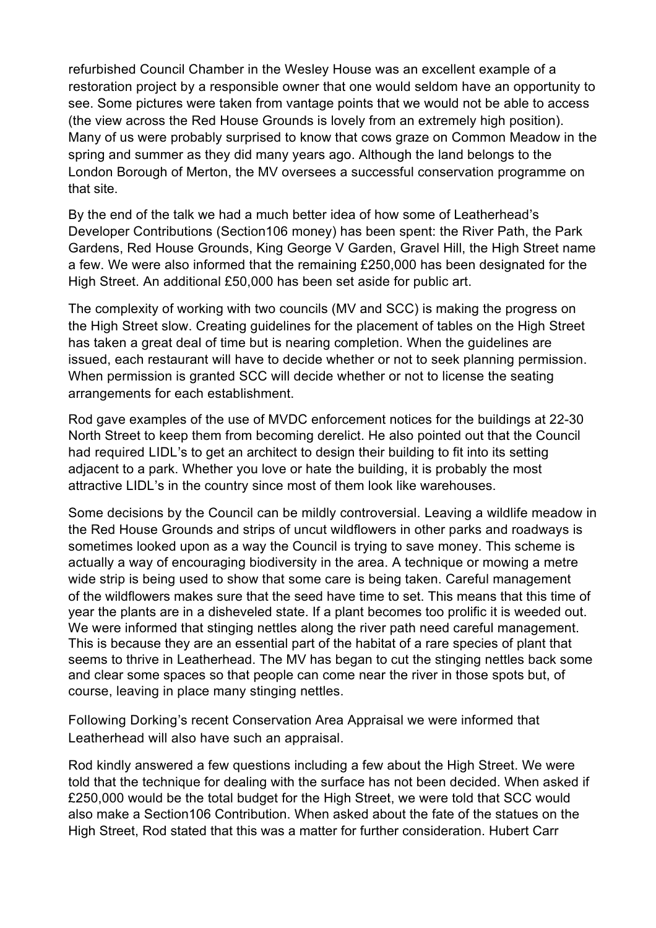refurbished Council Chamber in the Wesley House was an excellent example of a restoration project by a responsible owner that one would seldom have an opportunity to see. Some pictures were taken from vantage points that we would not be able to access (the view across the Red House Grounds is lovely from an extremely high position). Many of us were probably surprised to know that cows graze on Common Meadow in the spring and summer as they did many years ago. Although the land belongs to the London Borough of Merton, the MV oversees a successful conservation programme on that site.

By the end of the talk we had a much better idea of how some of Leatherhead's Developer Contributions (Section106 money) has been spent: the River Path, the Park Gardens, Red House Grounds, King George V Garden, Gravel Hill, the High Street name a few. We were also informed that the remaining £250,000 has been designated for the High Street. An additional £50,000 has been set aside for public art.

The complexity of working with two councils (MV and SCC) is making the progress on the High Street slow. Creating guidelines for the placement of tables on the High Street has taken a great deal of time but is nearing completion. When the guidelines are issued, each restaurant will have to decide whether or not to seek planning permission. When permission is granted SCC will decide whether or not to license the seating arrangements for each establishment.

Rod gave examples of the use of MVDC enforcement notices for the buildings at 22-30 North Street to keep them from becoming derelict. He also pointed out that the Council had required LIDL's to get an architect to design their building to fit into its setting adjacent to a park. Whether you love or hate the building, it is probably the most attractive LIDL's in the country since most of them look like warehouses.

Some decisions by the Council can be mildly controversial. Leaving a wildlife meadow in the Red House Grounds and strips of uncut wildflowers in other parks and roadways is sometimes looked upon as a way the Council is trying to save money. This scheme is actually a way of encouraging biodiversity in the area. A technique or mowing a metre wide strip is being used to show that some care is being taken. Careful management of the wildflowers makes sure that the seed have time to set. This means that this time of year the plants are in a disheveled state. If a plant becomes too prolific it is weeded out. We were informed that stinging nettles along the river path need careful management. This is because they are an essential part of the habitat of a rare species of plant that seems to thrive in Leatherhead. The MV has began to cut the stinging nettles back some and clear some spaces so that people can come near the river in those spots but, of course, leaving in place many stinging nettles.

Following Dorking's recent Conservation Area Appraisal we were informed that Leatherhead will also have such an appraisal.

Rod kindly answered a few questions including a few about the High Street. We were told that the technique for dealing with the surface has not been decided. When asked if £250,000 would be the total budget for the High Street, we were told that SCC would also make a Section106 Contribution. When asked about the fate of the statues on the High Street, Rod stated that this was a matter for further consideration. Hubert Carr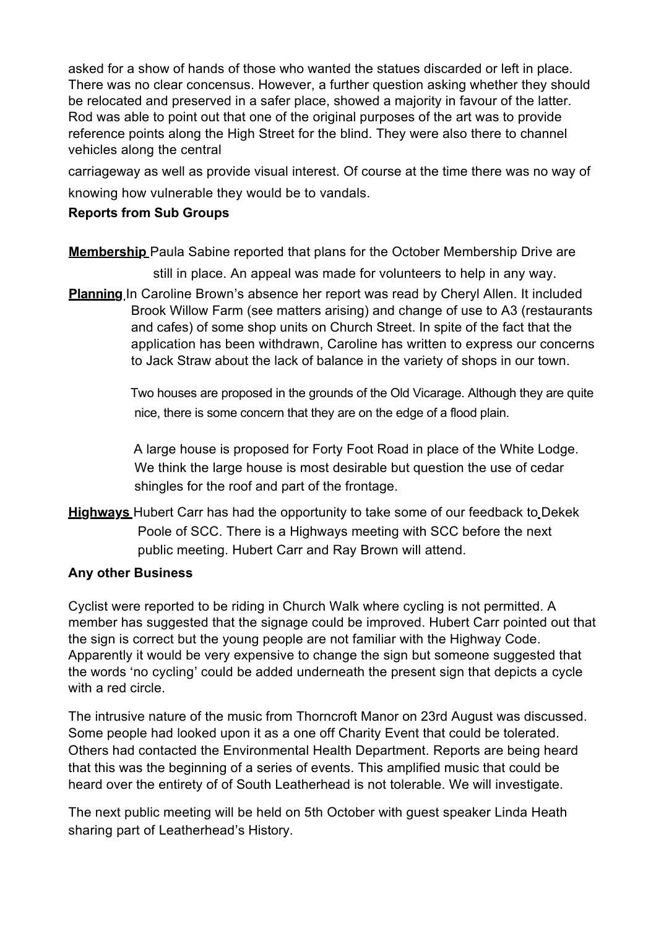asked for a show of hands of those who wanted the statues discarded or left in place. There was no clear concensus. However, a further question asking whether they should be relocated and preserved in a safer place, showed a majority in favour of the latter. Rod was able to point out that one of the original purposes of the art was to provide reference points along the High Street for the blind. They were also there to channel vehicles along the central

carriageway as well as provide visual interest. Of course at the time there was no way of knowing how vulnerable they would be to vandals.

# **Reports from Sub Groups**

**Membership** Paula Sabine reported that plans for the October Membership Drive are

still in place. An appeal was made for volunteers to help in any way.

**Planning** In Caroline Brown's absence her report was read by Cheryl Allen. It included Brook Willow Farm (see matters arising) and change of use to A3 (restaurants and cafes) of some shop units on Church Street. In spite of the fact that the application has been withdrawn, Caroline has written to express our concerns to Jack Straw about the lack of balance in the variety of shops in our town.

> Two houses are proposed in the grounds of the Old Vicarage. Although they are quite nice, there is some concern that they are on the edge of a flood plain.

A large house is proposed for Forty Foot Road in place of the White Lodge. We think the large house is most desirable but question the use of cedar shingles for the roof and part of the frontage.

**Highways** Hubert Carr has had the opportunity to take some of our feedback to Dekek Poole of SCC. There is a Highways meeting with SCC before the next public meeting. Hubert Carr and Ray Brown will attend.

### **Any other Business**

Cyclist were reported to be riding in Church Walk where cycling is not permitted. A member has suggested that the signage could be improved. Hubert Carr pointed out that the sign is correct but the young people are not familiar with the Highway Code. Apparently it would be very expensive to change the sign but someone suggested that the words 'no cycling' could be added underneath the present sign that depicts a cycle with a red circle.

The intrusive nature of the music from Thorncroft Manor on 23rd August was discussed. Some people had looked upon it as a one off Charity Event that could be tolerated. Others had contacted the Environmental Health Department. Reports are being heard that this was the beginning of a series of events. This amplified music that could be heard over the entirety of of South Leatherhead is not tolerable. We will investigate.

The next public meeting will be held on 5th October with guest speaker Linda Heath sharing part of Leatherhead's History.